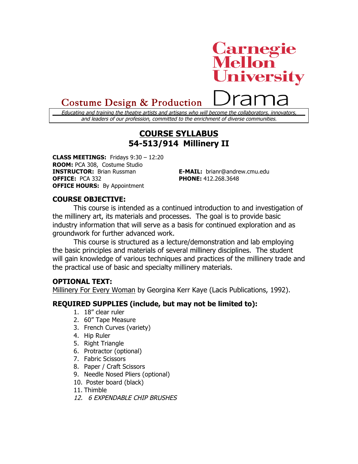# **Carnegie<br>Mellon University**

# Costume Design & Production

Educating and training the theatre artists and artisans who will become the collaborators, innovators, and leaders of our profession, committed to the enrichment of diverse communities.

# **COURSE SYLLABUS 54-513/914 Millinery II**

**CLASS MEETINGS:** Fridays 9:30 – 12:20 **ROOM:** PCA 308, Costume Studio **INSTRUCTOR:** Brian Russman **E-MAIL:** brianr@andrew.cmu.edu **OFFICE:** PCA 332 **PHONE:** 412.268.3648 **OFFICE HOURS:** By Appointment

## **COURSE OBJECTIVE:**

This course is intended as a continued introduction to and investigation of the millinery art, its materials and processes. The goal is to provide basic industry information that will serve as a basis for continued exploration and as groundwork for further advanced work.

This course is structured as a lecture/demonstration and lab employing the basic principles and materials of several millinery disciplines. The student will gain knowledge of various techniques and practices of the millinery trade and the practical use of basic and specialty millinery materials.

#### **OPTIONAL TEXT:**

Millinery For Every Woman by Georgina Kerr Kaye (Lacis Publications, 1992).

## **REQUIRED SUPPLIES (include, but may not be limited to):**

- 1. 18" clear ruler
- 2. 60" Tape Measure
- 3. French Curves (variety)
- 4. Hip Ruler
- 5. Right Triangle
- 6. Protractor (optional)
- 7. Fabric Scissors
- 8. Paper / Craft Scissors
- 9. Needle Nosed Pliers (optional)
- 10. Poster board (black)
- 11. Thimble
- 12. 6 EXPENDABLE CHIP BRUSHES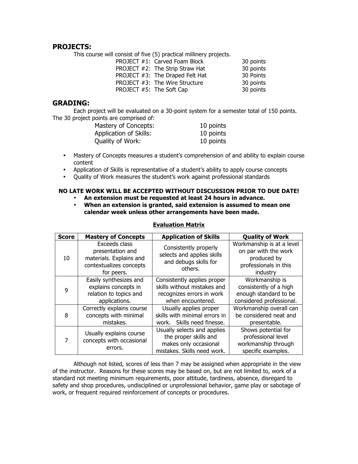#### **PROJECTS:**

This course will consist of five (5) practical millinery projects.

|                          | PROJECT #1: Carved Foam Block   | 30 points |
|--------------------------|---------------------------------|-----------|
|                          | PROJECT #2: The Strip Straw Hat | 30 points |
|                          | PROJECT #3: The Draped Felt Hat | 30 Points |
|                          | PROJECT #3: The Wire Structure  | 30 points |
| PROJECT #5: The Soft Cap |                                 | 30 points |
|                          |                                 |           |

#### **GRADING:**

Each project will be evaluated on a 30-point system for a semester total of 150 points. The 30 project points are comprised of:

| Mastery of Concepts:   | 10 points |
|------------------------|-----------|
| Application of Skills: | 10 points |
| Quality of Work:       | 10 points |

- Mastery of Concepts measures a student's comprehension of and ability to explain course content
- Application of Skills is representative of a student's ability to apply course concepts
- Quality of Work measures the student's work against professional standards

#### **NO LATE WORK WILL BE ACCEPTED WITHOUT DISCUSSION PRIOR TO DUE DATE!**

- **An extension must be requested at least 24 hours in advance.**
- **When an extension is granted, said extension is assumed to mean one calendar week unless other arrangements have been made.**

| <b>Score</b> | <b>Mastery of Concepts</b>                                                                            | <b>Application of Skills</b>                                                                                 | <b>Quality of Work</b>                                                                                |
|--------------|-------------------------------------------------------------------------------------------------------|--------------------------------------------------------------------------------------------------------------|-------------------------------------------------------------------------------------------------------|
| 10           | Exceeds class<br>presentation and<br>materials. Explains and<br>contextualizes concepts<br>for peers. | Consistently properly<br>selects and applies skills<br>and debugs skills for<br>others.                      | Workmanship is at a level<br>on par with the work<br>produced by<br>professionals in this<br>industry |
| 9            | Easily synthesizes and<br>explains concepts in<br>relation to topics and<br>applications.             | Consistently applies proper<br>skills without mistakes and<br>recognizes errors in work<br>when encountered. | Workmanship is<br>consistently of a high<br>enough standard to be<br>considered professional.         |
| 8            | Correctly explains course<br>concepts with minimal<br>mistakes.                                       | Usually applies proper<br>skills with minimal errors in<br>work. Skills need finesse.                        | Workmanship overall can<br>be considered neat and<br>presentable.                                     |
| 7            | Usually explains course<br>concepts with occasional<br>errors.                                        | Usually selects and applies<br>the proper skills and<br>makes only occasional<br>mistakes. Skills need work. | Shows potential for<br>professional level<br>workmanship through<br>specific examples.                |

#### **Evaluation Matrix**

Although not listed, scores of less than 7 may be assigned when appropriate in the view of the instructor. Reasons for these scores may be based on, but are not limited to, work of a standard not meeting minimum requirements, poor attitude, tardiness, absence, disregard to safety and shop procedures, undisciplined or unprofessional behavior, game play or sabotage of work, or frequent required reinforcement of concepts or procedures.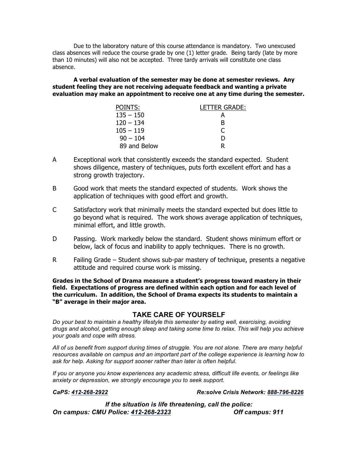Due to the laboratory nature of this course attendance is mandatory. Two unexcused class absences will reduce the course grade by one (1) letter grade. Being tardy (late by more than 10 minutes) will also not be accepted. Three tardy arrivals will constitute one class absence.

**A verbal evaluation of the semester may be done at semester reviews. Any student feeling they are not receiving adequate feedback and wanting a private evaluation may make an appointment to receive one at any time during the semester.**

| POINTS:      | LETTER GRADE: |
|--------------|---------------|
| $135 - 150$  |               |
| $120 - 134$  | в             |
| $105 - 119$  | €             |
| $90 - 104$   | Ð             |
| 89 and Below | R             |

- A Exceptional work that consistently exceeds the standard expected. Student shows diligence, mastery of techniques, puts forth excellent effort and has a strong growth trajectory.
- B Good work that meets the standard expected of students. Work shows the application of techniques with good effort and growth.
- C Satisfactory work that minimally meets the standard expected but does little to go beyond what is required. The work shows average application of techniques, minimal effort, and little growth.
- D Passing. Work markedly below the standard. Student shows minimum effort or below, lack of focus and inability to apply techniques. There is no growth.
- R Failing Grade Student shows sub-par mastery of technique, presents a negative attitude and required course work is missing.

**Grades in the School of Drama measure a student's progress toward mastery in their field. Expectations of progress are defined within each option and for each level of the curriculum. In addition, the School of Drama expects its students to maintain a "B" average in their major area.**

#### **TAKE CARE OF YOURSELF**

*Do your best to maintain a healthy lifestyle this semester by eating well, exercising, avoiding drugs and alcohol, getting enough sleep and taking some time to relax. This will help you achieve your goals and cope with stress.*

*All of us benefit from support during times of struggle. You are not alone. There are many helpful resources available on campus and an important part of the college experience is learning how to ask for help. Asking for support sooner rather than later is often helpful.*

*If you or anyone you know experiences any academic stress, difficult life events, or feelings like anxiety or depression, we strongly encourage you to seek support.* 

#### *CaPS: 412-268-2922 Re:solve Crisis Network: 888-796-8226*

*If the situation is life threatening, call the police: On campus: CMU Police: 412-268-2323 Off campus: 911*